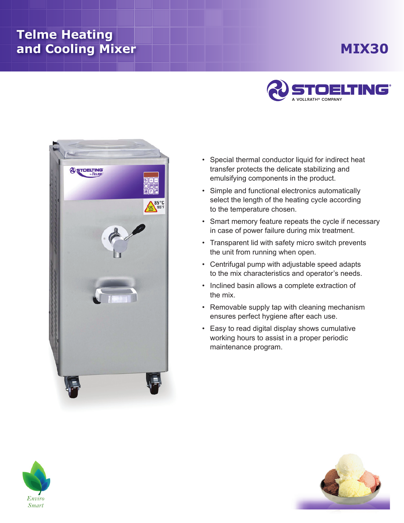## **Telme Heating and Cooling Mixer**

## **Mix30**





- Special thermal conductor liquid for indirect heat transfer protects the delicate stabilizing and emulsifying components in the product.
- Simple and functional electronics automatically select the length of the heating cycle according to the temperature chosen.
- Smart memory feature repeats the cycle if necessary in case of power failure during mix treatment.
- Transparent lid with safety micro switch prevents the unit from running when open.
- Centrifugal pump with adjustable speed adapts to the mix characteristics and operator's needs.
- Inclined basin allows a complete extraction of the mix.
- Removable supply tap with cleaning mechanism ensures perfect hygiene after each use.
- Easy to read digital display shows cumulative working hours to assist in a proper periodic maintenance program.